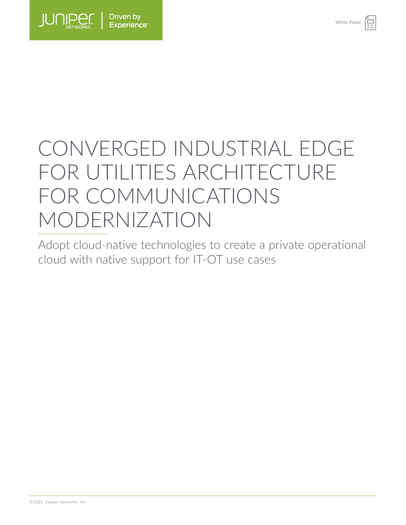

# CONVERGED INDUSTRIAL EDGE FOR UTILITIES ARCHITECTURE FOR COMMUNICATIONS MODERNIZATION

Adopt cloud-native technologies to create a private operational cloud with native support for IT-OT use cases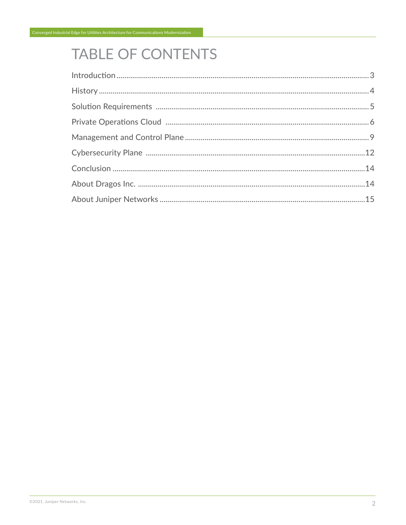# TABLE OF CONTENTS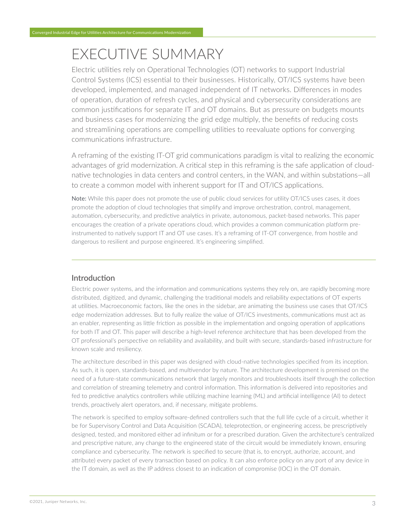# <span id="page-2-0"></span>EXECUTIVE SUMMARY

Electric utilities rely on Operational Technologies (OT) networks to support Industrial Control Systems (ICS) essential to their businesses. Historically, OT/ICS systems have been developed, implemented, and managed independent of IT networks. Differences in modes of operation, duration of refresh cycles, and physical and cybersecurity considerations are common justifications for separate IT and OT domains. But as pressure on budgets mounts and business cases for modernizing the grid edge multiply, the benefits of reducing costs and streamlining operations are compelling utilities to reevaluate options for converging communications infrastructure.

A reframing of the existing IT-OT grid communications paradigm is vital to realizing the economic advantages of grid modernization. A critical step in this reframing is the safe application of cloudnative technologies in data centers and control centers, in the WAN, and within substations—all to create a common model with inherent support for IT and OT/ICS applications.

Note: While this paper does not promote the use of public cloud services for utility OT/ICS uses cases, it does promote the adoption of cloud technologies that simplify and improve orchestration, control, management, automation, cybersecurity, and predictive analytics in private, autonomous, packet-based networks. This paper encourages the creation of a private operations cloud, which provides a common communication platform preinstrumented to natively support IT and OT use cases. It's a reframing of IT-OT convergence, from hostile and dangerous to resilient and purpose engineered. It's engineering simplified.

# Introduction

Electric power systems, and the information and communications systems they rely on, are rapidly becoming more distributed, digitized, and dynamic, challenging the traditional models and reliability expectations of OT experts at utilities. Macroeconomic factors, like the ones in the sidebar, are animating the business use cases that OT/ICS edge modernization addresses. But to fully realize the value of OT/ICS investments, communications must act as an enabler, representing as little friction as possible in the implementation and ongoing operation of applications for both IT and OT. This paper will describe a high-level reference architecture that has been developed from the OT professional's perspective on reliability and availability, and built with secure, standards-based infrastructure for known scale and resiliency.

The architecture described in this paper was designed with cloud-native technologies specified from its inception. As such, it is open, standards-based, and multivendor by nature. The architecture development is premised on the need of a future-state communications network that largely monitors and troubleshoots itself through the collection and correlation of streaming telemetry and control information. This information is delivered into repositories and fed to predictive analytics controllers while utilizing machine learning (ML) and artificial intelligence (AI) to detect trends, proactively alert operators, and, if necessary, mitigate problems.

The network is specified to employ software-defined controllers such that the full life cycle of a circuit, whether it be for Supervisory Control and Data Acquisition (SCADA), teleprotection, or engineering access, be prescriptively designed, tested, and monitored either ad infinitum or for a prescribed duration. Given the architecture's centralized and prescriptive nature, any change to the engineered state of the circuit would be immediately known, ensuring compliance and cybersecurity. The network is specified to secure (that is, to encrypt, authorize, account, and attribute) every packet of every transaction based on policy. It can also enforce policy on any port of any device in the IT domain, as well as the IP address closest to an indication of compromise (IOC) in the OT domain.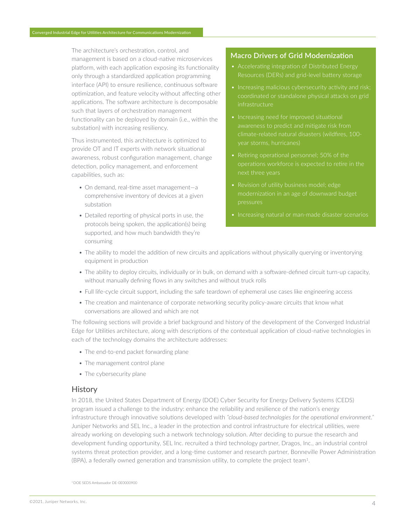The architecture's orchestration, control, and management is based on a cloud-native microservices platform, with each application exposing its functionality only through a standardized application programming interface (API) to ensure resilience, continuous software optimization, and feature velocity without affecting other applications. The software architecture is decomposable such that layers of orchestration management functionality can be deployed by domain (i.e., within the substation) with increasing resiliency.

<span id="page-3-0"></span>Converged Industrial Edge for Utilities Architecture for Communications Modernization

Thus instrumented, this architecture is optimized to provide OT and IT experts with network situational awareness, robust configuration management, change detection, policy management, and enforcement capabilities, such as:

- On demand, real-time asset management—a comprehensive inventory of devices at a given substation
- Detailed reporting of physical ports in use, the protocols being spoken, the application(s) being supported, and how much bandwidth they're consuming

### **Macro Drivers of Grid Modernization**

- Accelerating integration of Distributed Energy Resources (DERs) and grid-level battery storage
- Increasing malicious cybersecurity activity and risk; coordinated or standalone physical attacks on grid
- 
- Retiring operational personnel; 50% of the
- pressures
- 
- The ability to model the addition of new circuits and applications without physically querying or inventorying equipment in production
- The ability to deploy circuits, individually or in bulk, on demand with a software-defined circuit turn-up capacity, without manually defining flows in any switches and without truck rolls
- Full life-cycle circuit support, including the safe teardown of ephemeral use cases like engineering access
- The creation and maintenance of corporate networking security policy-aware circuits that know what conversations are allowed and which are not

The following sections will provide a brief background and history of the development of the Converged Industrial Edge for Utilities architecture, along with descriptions of the contextual application of cloud-native technologies in each of the technology domains the architecture addresses:

- The end-to-end packet forwarding plane
- The management control plane
- The cybersecurity plane

#### **History**

In 2018, the United States Department of Energy (DOE) Cyber Security for Energy Delivery Systems (CEDS) program issued a challenge to the industry: enhance the reliability and resilience of the nation's energy infrastructure through innovative solutions developed with *"cloud-based technologies for the operational environment."* Juniper Networks and SEL Inc., a leader in the protection and control infrastructure for electrical utilities, were already working on developing such a network technology solution. After deciding to pursue the research and development funding opportunity, SEL Inc. recruited a third technology partner, Dragos, Inc., an industrial control systems threat protection provider, and a long-time customer and research partner, Bonneville Power Administration (BPA), a federally owned generation and transmission utility, to complete the project team1.

1 DOE SEDS Ambassador DE-0E0000900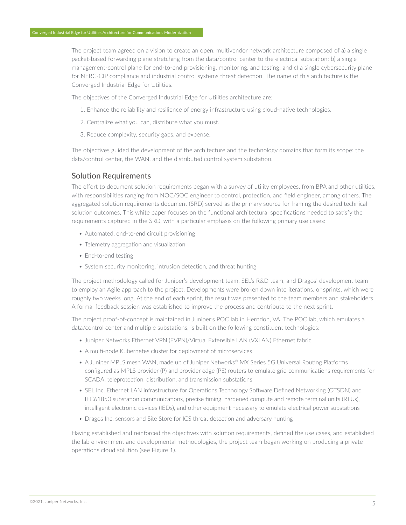<span id="page-4-0"></span>The project team agreed on a vision to create an open, multivendor network architecture composed of a) a single packet-based forwarding plane stretching from the data/control center to the electrical substation; b) a single management-control plane for end-to-end provisioning, monitoring, and testing; and c) a single cybersecurity plane for NERC-CIP compliance and industrial control systems threat detection. The name of this architecture is the Converged Industrial Edge for Utilities.

The objectives of the Converged Industrial Edge for Utilities architecture are:

- 1. Enhance the reliability and resilience of energy infrastructure using cloud-native technologies.
- 2. Centralize what you can, distribute what you must.
- 3. Reduce complexity, security gaps, and expense.

The objectives guided the development of the architecture and the technology domains that form its scope: the data/control center, the WAN, and the distributed control system substation.

# Solution Requirements

The effort to document solution requirements began with a survey of utility employees, from BPA and other utilities, with responsibilities ranging from NOC/SOC engineer to control, protection, and field engineer, among others. The aggregated solution requirements document (SRD) served as the primary source for framing the desired technical solution outcomes. This white paper focuses on the functional architectural specifications needed to satisfy the requirements captured in the SRD, with a particular emphasis on the following primary use cases:

- Automated, end-to-end circuit provisioning
- Telemetry aggregation and visualization
- End-to-end testing
- System security monitoring, intrusion detection, and threat hunting

The project methodology called for Juniper's development team, SEL's R&D team, and Dragos' development team to employ an Agile approach to the project. Developments were broken down into iterations, or sprints, which were roughly two weeks long. At the end of each sprint, the result was presented to the team members and stakeholders. A formal feedback session was established to improve the process and contribute to the next sprint.

The project proof-of-concept is maintained in Juniper's POC lab in Herndon, VA. The POC lab, which emulates a data/control center and multiple substations, is built on the following constituent technologies:

- Juniper Networks Ethernet VPN (EVPN)/Virtual Extensible LAN (VXLAN) Ethernet fabric
- A multi-node Kubernetes cluster for deployment of microservices
- A Juniper MPLS mesh WAN, made up of Juniper Networks® MX Series 5G Universal Routing Platforms configured as MPLS provider (P) and provider edge (PE) routers to emulate grid communications requirements for SCADA, teleprotection, distribution, and transmission substations
- SEL Inc. Ethernet LAN infrastructure for Operations Technology Software Defined Networking (OTSDN) and IEC61850 substation communications, precise timing, hardened compute and remote terminal units (RTUs), intelligent electronic devices (IEDs), and other equipment necessary to emulate electrical power substations
- Dragos Inc. sensors and Site Store for ICS threat detection and adversary hunting

Having established and reinforced the objectives with solution requirements, defined the use cases, and established the lab environment and developmental methodologies, the project team began working on producing a private operations cloud solution (see Figure 1).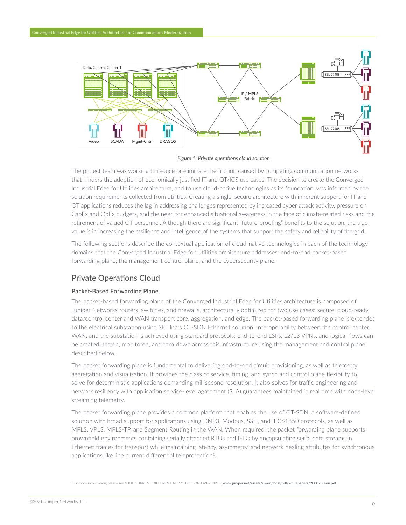<span id="page-5-0"></span>

*Figure 1: Private operations cloud solution*

The project team was working to reduce or eliminate the friction caused by competing communication networks that hinders the adoption of economically justified IT and OT/ICS use cases. The decision to create the Converged Industrial Edge for Utilities architecture, and to use cloud-native technologies as its foundation, was informed by the solution requirements collected from utilities. Creating a single, secure architecture with inherent support for IT and OT applications reduces the lag in addressing challenges represented by increased cyber attack activity, pressure on CapEx and OpEx budgets, and the need for enhanced situational awareness in the face of climate-related risks and the retirement of valued OT personnel. Although there are significant "future-proofing" benefits to the solution, the true value is in increasing the resilience and intelligence of the systems that support the safety and reliability of the grid.

The following sections describe the contextual application of cloud-native technologies in each of the technology domains that the Converged Industrial Edge for Utilities architecture addresses: end-to-end packet-based forwarding plane, the management control plane, and the cybersecurity plane.

# Private Operations Cloud

#### **Packet-Based Forwarding Plane**

The packet-based forwarding plane of the Converged Industrial Edge for Utilities architecture is composed of Juniper Networks routers, switches, and firewalls, architecturally optimized for two use cases: secure, cloud-ready data/control center and WAN transport core, aggregation, and edge. The packet-based forwarding plane is extended to the electrical substation using SEL Inc.'s OT-SDN Ethernet solution. Interoperability between the control center, WAN, and the substation is achieved using standard protocols; end-to-end LSPs, L2/L3 VPNs, and logical flows can be created, tested, monitored, and torn down across this infrastructure using the management and control plane described below.

The packet forwarding plane is fundamental to delivering end-to-end circuit provisioning, as well as telemetry aggregation and visualization. It provides the class of service, timing, and synch and control plane flexibility to solve for deterministic applications demanding millisecond resolution. It also solves for traffic engineering and network resiliency with application service-level agreement (SLA) guarantees maintained in real time with node-level streaming telemetry.

The packet forwarding plane provides a common platform that enables the use of OT-SDN, a software-defined solution with broad support for applications using DNP3, Modbus, SSH, and IEC61850 protocols, as well as MPLS, VPLS, MPLS-TP, and Segment Routing in the WAN. When required, the packet forwarding plane supports brownfield environments containing serially attached RTUs and IEDs by encapsulating serial data streams in Ethernet frames for transport while maintaining latency, asymmetry, and network healing attributes for synchronous applications like line current differential teleprotection<sup>1</sup>.

1For more information, please see "LINE CURRENT DIFFERENTIAL PROTECTION OVER MPLS" [www.juniper.net/assets/us/en/local/pdf/whitepapers/2000733-en.pdf](https://www.juniper.net/assets/us/en/local/pdf/whitepapers/2000733-en.pdf)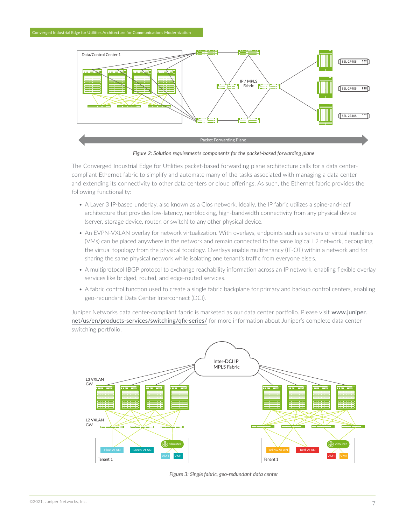

*Figure 2: Solution requirements components for the packet-based forwarding plane*

The Converged Industrial Edge for Utilities packet-based forwarding plane architecture calls for a data centercompliant Ethernet fabric to simplify and automate many of the tasks associated with managing a data center and extending its connectivity to other data centers or cloud offerings. As such, the Ethernet fabric provides the following functionality:

- A Layer 3 IP-based underlay, also known as a Clos network. Ideally, the IP fabric utilizes a spine-and-leaf architecture that provides low-latency, nonblocking, high-bandwidth connectivity from any physical device (server, storage device, router, or switch) to any other physical device.
- An EVPN-VXLAN overlay for network virtualization. With overlays, endpoints such as servers or virtual machines (VMs) can be placed anywhere in the network and remain connected to the same logical L2 network, decoupling the virtual topology from the physical topology. Overlays enable multitenancy (IT-OT) within a network and for sharing the same physical network while isolating one tenant's traffic from everyone else's.
- A multiprotocol IBGP protocol to exchange reachability information across an IP network, enabling flexible overlay services like bridged, routed, and edge-routed services.
- A fabric control function used to create a single fabric backplane for primary and backup control centers, enabling geo-redundant Data Center Interconnect (DCI).

Juniper Networks data center-compliant fabric is marketed as our data center portfolio. Please visit [www.juniper.](https://www.juniper.net/us/en/products-services/switching/qfx-series/) [net/us/en/products-services/switching/qfx-series/](https://www.juniper.net/us/en/products-services/switching/qfx-series/) for more information about Juniper's complete data center switching portfolio.



*Figure 3: Single fabric, geo-redundant data center*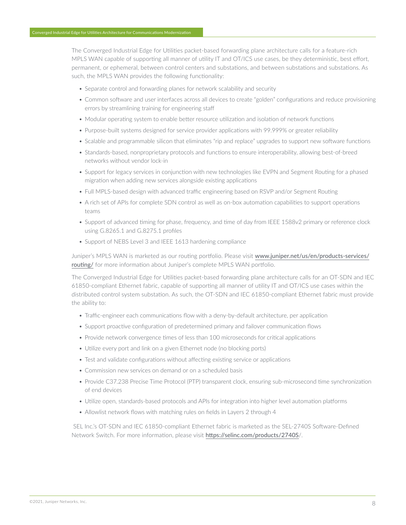The Converged Industrial Edge for Utilities packet-based forwarding plane architecture calls for a feature-rich MPLS WAN capable of supporting all manner of utility IT and OT/ICS use cases, be they deterministic, best effort, permanent, or ephemeral, between control centers and substations, and between substations and substations. As such, the MPLS WAN provides the following functionality:

- Separate control and forwarding planes for network scalability and security
- Common software and user interfaces across all devices to create "golden" configurations and reduce provisioning errors by streamlining training for engineering staff
- Modular operating system to enable better resource utilization and isolation of network functions
- Purpose-built systems designed for service provider applications with 99.999% or greater reliability
- Scalable and programmable silicon that eliminates "rip and replace" upgrades to support new software functions
- Standards-based, nonproprietary protocols and functions to ensure interoperability, allowing best-of-breed networks without vendor lock-in
- Support for legacy services in conjunction with new technologies like EVPN and Segment Routing for a phased migration when adding new services alongside existing applications
- Full MPLS-based design with advanced traffic engineering based on RSVP and/or Segment Routing
- A rich set of APIs for complete SDN control as well as on-box automation capabilities to support operations teams
- Support of advanced timing for phase, frequency, and time of day from IEEE 1588v2 primary or reference clock using G.8265.1 and G.8275.1 profiles
- Support of NEBS Level 3 and IEEE 1613 hardening compliance

Juniper's MPLS WAN is marketed as our routing portfolio. Please visit [www.juniper.net/us/en/products-services/](https://www.juniper.net/us/en/products-services/routing/) [routing/](https://www.juniper.net/us/en/products-services/routing/) for more information about Juniper's complete MPLS WAN portfolio.

The Converged Industrial Edge for Utilities packet-based forwarding plane architecture calls for an OT-SDN and IEC 61850-compliant Ethernet fabric, capable of supporting all manner of utility IT and OT/ICS use cases within the distributed control system substation. As such, the OT-SDN and IEC 61850-compliant Ethernet fabric must provide the ability to:

- Traffic-engineer each communications flow with a deny-by-default architecture, per application
- Support proactive configuration of predetermined primary and failover communication flows
- Provide network convergence times of less than 100 microseconds for critical applications
- Utilize every port and link on a given Ethernet node (no blocking ports)
- Test and validate configurations without affecting existing service or applications
- Commission new services on demand or on a scheduled basis
- Provide C37.238 Precise Time Protocol (PTP) transparent clock, ensuring sub-microsecond time synchronization of end devices
- Utilize open, standards-based protocols and APIs for integration into higher level automation platforms
- Allowlist network flows with matching rules on fields in Layers 2 through 4

 SEL Inc.'s OT-SDN and IEC 61850-compliant Ethernet fabric is marketed as the SEL-2740S Software-Defined Network Switch. For more information, please visit <https://selinc.com/products/2740S>/.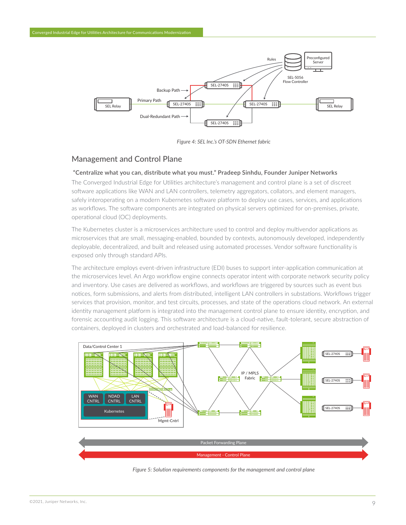

*Figure 4: SEL Inc.'s OT-SDN Ethernet fabric* 

# Management and Control Plane

<span id="page-8-0"></span>Converged Industrial Edge for Utilities Architecture for Communications Modernization

#### **"Centralize what you can, distribute what you must." Pradeep Sinhdu, Founder Juniper Networks**

The Converged Industrial Edge for Utilities architecture's management and control plane is a set of discreet software applications like WAN and LAN controllers, telemetry aggregators, collators, and element managers, safely interoperating on a modern Kubernetes software platform to deploy use cases, services, and applications as workflows. The software components are integrated on physical servers optimized for on-premises, private, operational cloud (OC) deployments.

The Kubernetes cluster is a microservices architecture used to control and deploy multivendor applications as microservices that are small, messaging-enabled, bounded by contexts, autonomously developed, independently deployable, decentralized, and built and released using automated processes. Vendor software functionality is exposed only through standard APIs.

The architecture employs event-driven infrastructure (EDI) buses to support inter-application communication at the microservices level. An Argo workflow engine connects operator intent with corporate network security policy and inventory. Use cases are delivered as workflows, and workflows are triggered by sources such as event bus notices, form submissions, and alerts from distributed, intelligent LAN controllers in substations. Workflows trigger services that provision, monitor, and test circuits, processes, and state of the operations cloud network. An external identity management platform is integrated into the management control plane to ensure identity, encryption, and forensic accounting audit logging. This software architecture is a cloud-native, fault-tolerant, secure abstraction of containers, deployed in clusters and orchestrated and load-balanced for resilience.



*Figure 5: Solution requirements components for the management and control plane*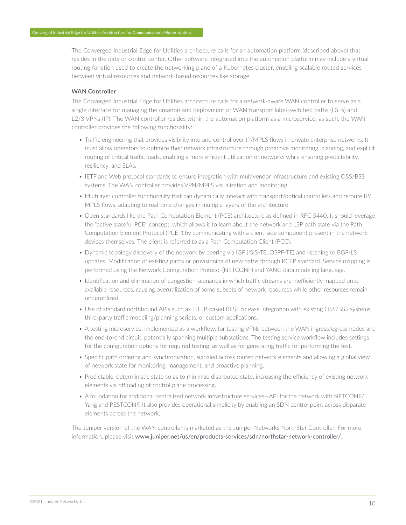The Converged Industrial Edge for Utilities architecture calls for an automation platform (described above) that resides in the data or control center. Other software integrated into the automation platform may include a virtual routing function used to create the networking plane of a Kubernetes cluster, enabling scalable routed services between virtual resources and network-based resources like storage.

#### **WAN Controller**

The Converged Industrial Edge for Utilities architecture calls for a network-aware WAN controller to serve as a single interface for managing the creation and deployment of WAN transport label-switched paths (LSPs) and L2/3 VPNs (IP). The WAN controller resides within the automation platform as a microservice; as such, the WAN controller provides the following functionality:

- Traffic engineering that provides visibility into and control over IP/MPLS flows in private enterprise networks. It must allow operators to optimize their network infrastructure through proactive monitoring, planning, and explicit routing of critical traffic loads, enabling a more efficient utilization of networks while ensuring predictability, resiliency, and SLAs.
- IETF and Web protocol standards to ensure integration with multivendor infrastructure and existing OSS/BSS systems. The WAN controller provides VPN/MPLS visualization and monitoring.
- Multilayer controller functionality that can dynamically interact with transport/optical controllers and reroute IP/ MPLS flows, adapting to real-time changes in multiple layers of the architecture.
- Open standards like the Path Computation Element (PCE) architecture as defined in RFC 5440. It should leverage the "active stateful PCE" concept, which allows it to learn about the network and LSP path state via the Path Computation Element Protocol (PCEP) by communicating with a client-side component present in the network devices themselves. The client is referred to as a Path Computation Client (PCC).
- Dynamic topology discovery of the network by peering via IGP (ISIS-TE, OSPF-TE) and listening to BGP-LS updates. Modification of existing paths or provisioning of new paths through PCEP standard. Service mapping is performed using the Network Configuration Protocol (NETCONF) and YANG data modeling language.
- Identification and elimination of congestion scenarios in which traffic streams are inefficiently mapped onto available resources, causing overutilization of some subsets of network resources while other resources remain underutilized.
- Use of standard northbound APIs such as HTTP-based REST to ease integration with existing OSS/BSS systems, third-party traffic modeling/planning scripts, or custom applications.
- A testing microservice, implemented as a workflow, for testing VPNs between the WAN ingress/egress nodes and the end-to-end circuit, potentially spanning multiple substations. The testing service workflow includes settings for the configuration options for required testing, as well as for generating traffic for performing the test.
- Specific path ordering and synchronization, signaled across routed network elements and allowing a global view of network state for monitoring, management, and proactive planning.
- Predictable, deterministic state so as to minimize distributed state, increasing the efficiency of existing network elements via offloading of control plane processing.
- A foundation for additional centralized network infrastructure services—API for the network with NETCONF/ Yang and RESTCONF. It also provides operational simplicity by enabling an SDN control point across disparate elements across the network.

The Juniper version of the WAN controller is marketed as the Juniper Networks NorthStar Controller. For more information, please visit [www.juniper.net/us/en/products-services/sdn/northstar-network-controller/](http://www.juniper.net/us/en/products-services/sdn/northstar-network-controller/).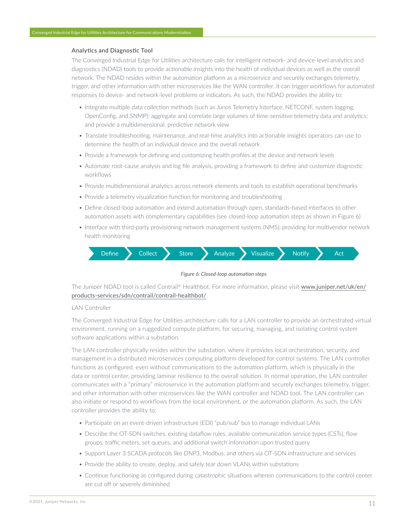#### **Analytics and Diagnostic Tool**

The Converged Industrial Edge for Utilities architecture calls for intelligent network- and device-level analytics and diagnostics (NDAD) tools to provide actionable insights into the health of individual devices as well as the overall network. The NDAD resides within the automation platform as a microservice and securely exchanges telemetry, trigger, and other information with other microservices like the WAN controller. It can trigger workflows for automated responses to device- and network-level problems or indicators. As such, the NDAD provides the ability to:

- Integrate multiple data collection methods (such as Junos Telemetry Interface, NETCONF, system logging, OpenConfig, and SNMP); aggregate and correlate large volumes of time-sensitive telemetry data and analytics; and provide a multidimensional, predictive network view
- Translate troubleshooting, maintenance, and real-time analytics into actionable insights operators can use to determine the health of an individual device and the overall network
- Provide a framework for defining and customizing health profiles at the device and network levels
- Automate root-cause analysis and log file analysis, providing a framework to define and customize diagnostic workflows
- Provide multidimensional analytics across network elements and tools to establish operational benchmarks
- Provide a telemetry visualization function for monitoring and troubleshooting
- Define closed-loop automation and extend automation through open, standards-based interfaces to other automation assets with complementary capabilities (see closed-loop automation steps as shown in Figure 6)
- Interface with third-party provisioning network management systems (NMS), providing for multivendor network health monitoring





The Juniper NDAD tool is called Contrail® Healthbot. For more information, please visit [www.juniper.net/uk/en/](https://www.juniper.net/uk/en/products-services/sdn/contrail/contrail-healthbot/) [products-services/sdn/contrail/contrail-healthbot/](https://www.juniper.net/uk/en/products-services/sdn/contrail/contrail-healthbot/).

#### LAN Controller

The Converged Industrial Edge for Utilities architecture calls for a LAN controller to provide an orchestrated virtual environment, running on a ruggedized compute platform, for securing, managing, and isolating control system software applications within a substation.

The LAN controller physically resides within the substation, where it provides local orchestration, security, and management in a distributed microservices computing platform developed for control systems. The LAN controller functions as configured, even without communications to the automation platform, which is physically in the data or control center, providing laminar resilience to the overall solution. In normal operation, the LAN controller communicates with a "primary" microservice in the automation platform and securely exchanges telemetry, trigger, and other information with other microservices like the WAN controller and NDAD tool. The LAN controller can also initiate or respond to workflows from the local environment, or the automation platform. As such, the LAN controller provides the ability to:

- Participate on an event-driven infrastructure (EDI) "pub/sub" bus to manage individual LANs
- Describe the OT-SDN switches, existing dataflow rules, available communication service types (CSTs), flow groups, traffic meters, set queues, and additional switch information upon trusted query
- Support Layer 3 SCADA protocols like DNP3, Modbus, and others via OT-SDN infrastructure and services
- Provide the ability to create, deploy, and safely tear down VLANs within substations
- Continue functioning as configured during catastrophic situations wherein communications to the control center are cut off or severely diminished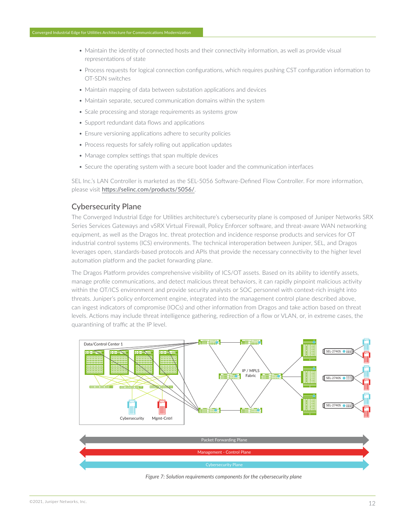- <span id="page-11-0"></span>• Maintain the identity of connected hosts and their connectivity information, as well as provide visual representations of state
- Process requests for logical connection configurations, which requires pushing CST configuration information to OT-SDN switches
- Maintain mapping of data between substation applications and devices
- Maintain separate, secured communication domains within the system
- Scale processing and storage requirements as systems grow
- Support redundant data flows and applications
- Ensure versioning applications adhere to security policies
- Process requests for safely rolling out application updates
- Manage complex settings that span multiple devices
- Secure the operating system with a secure boot loader and the communication interfaces

SEL Inc.'s LAN Controller is marketed as the SEL-5056 Software-Defined Flow Controller. For more information, please visit <https://selinc.com/products/5056/>.

### Cybersecurity Plane

The Converged Industrial Edge for Utilities architecture's cybersecurity plane is composed of Juniper Networks SRX Series Services Gateways and vSRX Virtual Firewall, Policy Enforcer software, and threat-aware WAN networking equipment, as well as the Dragos Inc. threat protection and incidence response products and services for OT industrial control systems (ICS) environments. The technical interoperation between Juniper, SEL, and Dragos leverages open, standards-based protocols and APIs that provide the necessary connectivity to the higher level automation platform and the packet forwarding plane.

The Dragos Platform provides comprehensive visibility of ICS/OT assets. Based on its ability to identify assets, manage profile communications, and detect malicious threat behaviors, it can rapidly pinpoint malicious activity within the OT/ICS environment and provide security analysts or SOC personnel with context-rich insight into threats. Juniper's policy enforcement engine, integrated into the management control plane described above, can ingest indicators of compromise (IOCs) and other information from Dragos and take action based on threat levels. Actions may include threat intelligence gathering, redirection of a flow or VLAN, or, in extreme cases, the quarantining of traffic at the IP level.





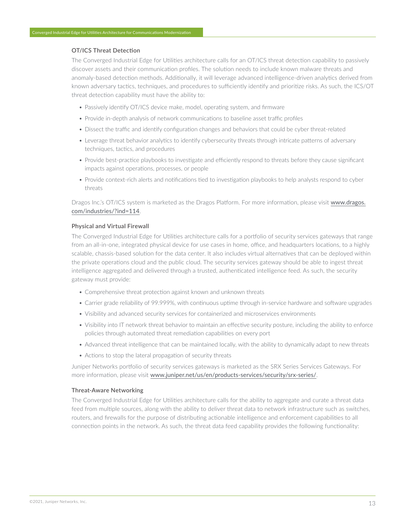#### **OT/ICS Threat Detection**

The Converged Industrial Edge for Utilities architecture calls for an OT/ICS threat detection capability to passively discover assets and their communication profiles. The solution needs to include known malware threats and anomaly-based detection methods. Additionally, it will leverage advanced intelligence-driven analytics derived from known adversary tactics, techniques, and procedures to sufficiently identify and prioritize risks. As such, the ICS/OT threat detection capability must have the ability to:

- Passively identify OT/ICS device make, model, operating system, and firmware
- Provide in-depth analysis of network communications to baseline asset traffic profiles
- Dissect the traffic and identify configuration changes and behaviors that could be cyber threat-related
- Leverage threat behavior analytics to identify cybersecurity threats through intricate patterns of adversary techniques, tactics, and procedures
- Provide best-practice playbooks to investigate and efficiently respond to threats before they cause significant impacts against operations, processes, or people
- Provide context-rich alerts and notifications tied to investigation playbooks to help analysts respond to cyber threats

Dragos Inc.'s OT/ICS system is marketed as the Dragos Platform. For more information, please visit [www.dragos.](https://www.dragos.com/industries/?ind=114) [com/industries/?ind=114](https://www.dragos.com/industries/?ind=114).

#### **Physical and Virtual Firewall**

The Converged Industrial Edge for Utilities architecture calls for a portfolio of security services gateways that range from an all-in-one, integrated physical device for use cases in home, office, and headquarters locations, to a highly scalable, chassis-based solution for the data center. It also includes virtual alternatives that can be deployed within the private operations cloud and the public cloud. The security services gateway should be able to ingest threat intelligence aggregated and delivered through a trusted, authenticated intelligence feed. As such, the security gateway must provide:

- Comprehensive threat protection against known and unknown threats
- Carrier grade reliability of 99.999%, with continuous uptime through in-service hardware and software upgrades
- Visibility and advanced security services for containerized and microservices environments
- Visibility into IT network threat behavior to maintain an effective security posture, including the ability to enforce policies through automated threat remediation capabilities on every port
- Advanced threat intelligence that can be maintained locally, with the ability to dynamically adapt to new threats
- Actions to stop the lateral propagation of security threats

Juniper Networks portfolio of security services gateways is marketed as the SRX Series Services Gateways. For more information, please visit [www.juniper.net/us/en/products-services/security/srx-series/](https://www.juniper.net/us/en/products-services/security/srx-series/).

#### **Threat-Aware Networking**

The Converged Industrial Edge for Utilities architecture calls for the ability to aggregate and curate a threat data feed from multiple sources, along with the ability to deliver threat data to network infrastructure such as switches, routers, and firewalls for the purpose of distributing actionable intelligence and enforcement capabilities to all connection points in the network. As such, the threat data feed capability provides the following functionality: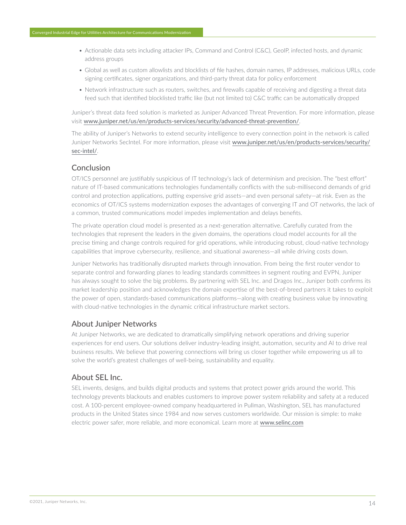- <span id="page-13-0"></span>• Actionable data sets including attacker IPs, Command and Control (C&C), GeoIP, infected hosts, and dynamic address groups
- Global as well as custom allowlists and blocklists of file hashes, domain names, IP addresses, malicious URLs, code signing certificates, signer organizations, and third-party threat data for policy enforcement
- Network infrastructure such as routers, switches, and firewalls capable of receiving and digesting a threat data feed such that identified blocklisted traffic like (but not limited to) C&C traffic can be automatically dropped

Juniper's threat data feed solution is marketed as Juniper Advanced Threat Prevention. For more information, please visit [www.juniper.net/us/en/products-services/security/advanced-threat-prevention/](https://www.juniper.net/us/en/products-services/security/advanced-threat-prevention/).

The ability of Juniper's Networks to extend security intelligence to every connection point in the network is called Juniper Networks SecIntel. For more information, please visit [www.juniper.net/us/en/products-services/security/](https://www.juniper.net/us/en/products-services/security/sec-intel/) [sec-intel/](https://www.juniper.net/us/en/products-services/security/sec-intel/).

# Conclusion

OT/ICS personnel are justifiably suspicious of IT technology's lack of determinism and precision. The "best effort" nature of IT-based communications technologies fundamentally conflicts with the sub-millisecond demands of grid control and protection applications, putting expensive grid assets—and even personal safety—at risk. Even as the economics of OT/ICS systems modernization exposes the advantages of converging IT and OT networks, the lack of a common, trusted communications model impedes implementation and delays benefits.

The private operation cloud model is presented as a next-generation alternative. Carefully curated from the technologies that represent the leaders in the given domains, the operations cloud model accounts for all the precise timing and change controls required for grid operations, while introducing robust, cloud-native technology capabilities that improve cybersecurity, resilience, and situational awareness—all while driving costs down.

Juniper Networks has traditionally disrupted markets through innovation. From being the first router vendor to separate control and forwarding planes to leading standards committees in segment routing and EVPN, Juniper has always sought to solve the big problems. By partnering with SEL Inc. and Dragos Inc., Juniper both confirms its market leadership position and acknowledges the domain expertise of the best-of-breed partners it takes to exploit the power of open, standards-based communications platforms—along with creating business value by innovating with cloud-native technologies in the dynamic critical infrastructure market sectors.

# About Juniper Networks

At Juniper Networks, we are dedicated to dramatically simplifying network operations and driving superior experiences for end users. Our solutions deliver industry-leading insight, automation, security and AI to drive real business results. We believe that powering connections will bring us closer together while empowering us all to solve the world's greatest challenges of well-being, sustainability and equality.

## About SEL Inc.

SEL invents, designs, and builds digital products and systems that protect power grids around the world. This technology prevents blackouts and enables customers to improve power system reliability and safety at a reduced cost. A 100-percent employee-owned company headquartered in Pullman, Washington, SEL has manufactured products in the United States since 1984 and now serves customers worldwide. Our mission is simple: to make electric power safer, more reliable, and more economical. Learn more at [www.selinc.com](http://www.selinc.com)